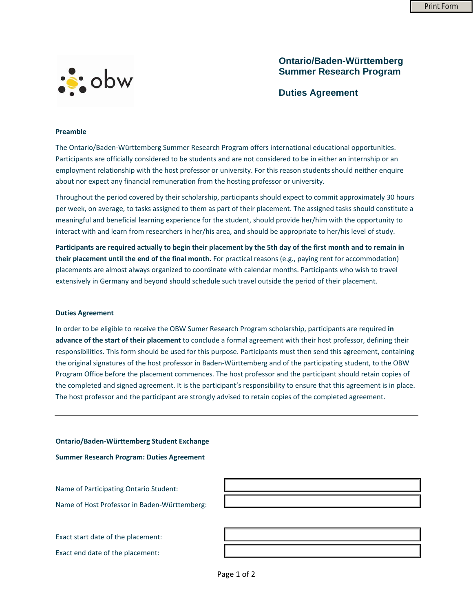

## **Ontario/Baden-Württemberg Summer Research Program**

**Duties Agreement**

## **Preamble**

The Ontario/Baden‐Württemberg Summer Research Program offers international educational opportunities. Participants are officially considered to be students and are not considered to be in either an internship or an employment relationship with the host professor or university. For this reason students should neither enquire about nor expect any financial remuneration from the hosting professor or university.

Throughout the period covered by their scholarship, participants should expect to commit approximately 30 hours per week, on average, to tasks assigned to them as part of their placement. The assigned tasks should constitute a meaningful and beneficial learning experience for the student, should provide her/him with the opportunity to interact with and learn from researchers in her/his area, and should be appropriate to her/his level of study.

Participants are required actually to begin their placement by the 5th day of the first month and to remain in **their placement until the end of the final month.** For practical reasons (e.g., paying rent for accommodation) placements are almost always organized to coordinate with calendar months. Participants who wish to travel extensively in Germany and beyond should schedule such travel outside the period of their placement.

## **Duties Agreement**

In order to be eligible to receive the OBW Sumer Research Program scholarship, participants are required **in advance of the start of their placement** to conclude a formal agreement with their host professor, defining their responsibilities. This form should be used for this purpose. Participants must then send this agreement, containing the original signatures of the host professor in Baden‐Württemberg and of the participating student, to the OBW Program Office before the placement commences. The host professor and the participant should retain copies of the completed and signed agreement. It is the participant's responsibility to ensure that this agreement is in place. The host professor and the participant are strongly advised to retain copies of the completed agreement.

**Ontario/Baden‐Württemberg Student Exchange**

**Summer Research Program: Duties Agreement**

Name of Participating Ontario Student:

Name of Host Professor in Baden‐Württemberg:

Exact start date of the placement:

Exact end date of the placement: